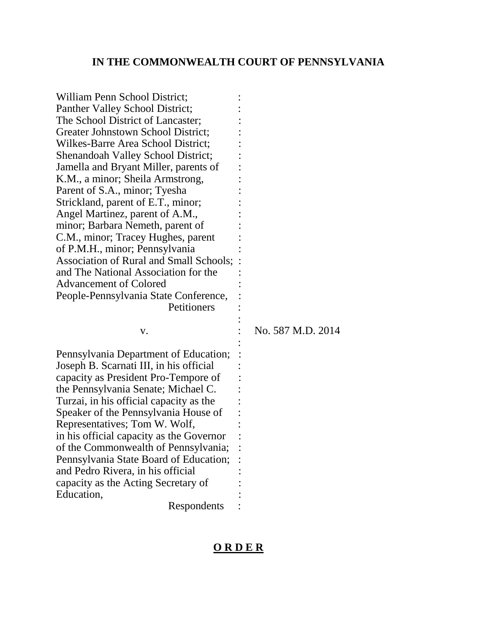## **IN THE COMMONWEALTH COURT OF PENNSYLVANIA**

| William Penn School District;<br>Panther Valley School District;<br>The School District of Lancaster;<br>Greater Johnstown School District;<br>Wilkes-Barre Area School District;<br><b>Shenandoah Valley School District;</b><br>Jamella and Bryant Miller, parents of<br>K.M., a minor; Sheila Armstrong,<br>Parent of S.A., minor; Tyesha<br>Strickland, parent of E.T., minor;<br>Angel Martinez, parent of A.M.,<br>minor; Barbara Nemeth, parent of<br>C.M., minor; Tracey Hughes, parent<br>of P.M.H., minor; Pennsylvania<br>Association of Rural and Small Schools;<br>and The National Association for the |                   |
|----------------------------------------------------------------------------------------------------------------------------------------------------------------------------------------------------------------------------------------------------------------------------------------------------------------------------------------------------------------------------------------------------------------------------------------------------------------------------------------------------------------------------------------------------------------------------------------------------------------------|-------------------|
| <b>Advancement of Colored</b>                                                                                                                                                                                                                                                                                                                                                                                                                                                                                                                                                                                        |                   |
| People-Pennsylvania State Conference,<br>Petitioners                                                                                                                                                                                                                                                                                                                                                                                                                                                                                                                                                                 |                   |
| V.                                                                                                                                                                                                                                                                                                                                                                                                                                                                                                                                                                                                                   | No. 587 M.D. 2014 |
| Pennsylvania Department of Education;<br>Joseph B. Scarnati III, in his official<br>capacity as President Pro-Tempore of<br>the Pennsylvania Senate; Michael C.<br>Turzai, in his official capacity as the<br>Speaker of the Pennsylvania House of<br>Representatives; Tom W. Wolf,<br>in his official capacity as the Governor<br>of the Commonwealth of Pennsylvania;<br>Pennsylvania State Board of Education;<br>and Pedro Rivera, in his official<br>capacity as the Acting Secretary of<br>Education,<br>Respondents                                                                                           |                   |

## **O R D E R**